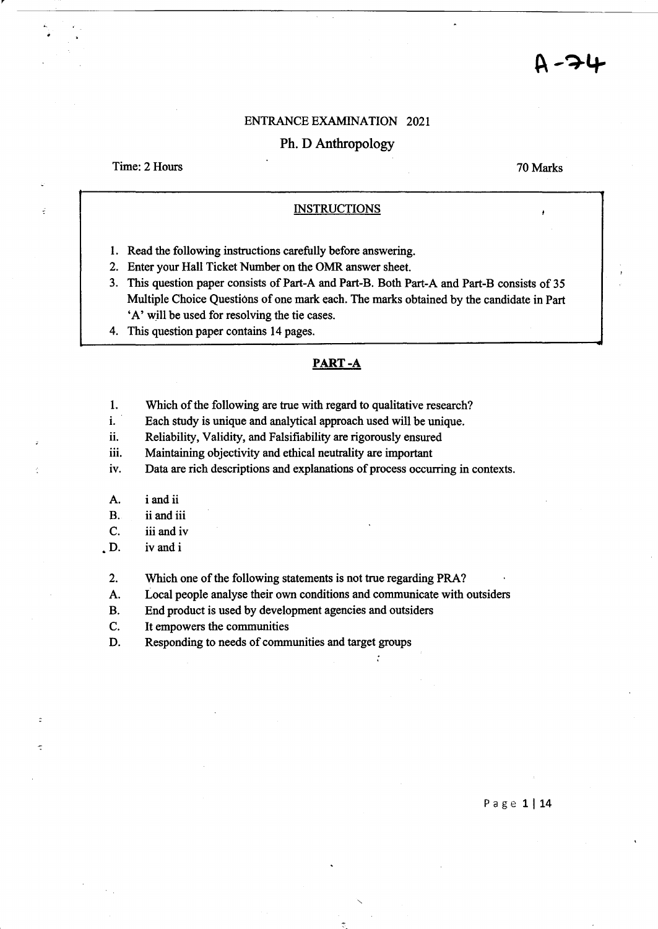### ENTRANCE EXAMINATION 2021

# Ph. D Anthropology

Time: 2 Hours

70 Marks

## **INSTRUCTIONS**

- 1. Read the following instructions carefully before answering.
- 2. Enter your Hall Ticket Number on the OMR answer sheet.
- 3. This question paper consists of Part-A and Part-B. Both Part-A and Part-B consists of 35 Multiple Choice Questions of one mark each. The marks obtained by the candidate in Part 'A' will be used for resolving the tie cases.
- 4. This question paper contains 14 pages.

## **PART-A**

- 1. Which of the following are true with regard to qualitative research?
- i. Each study is unique and analytical approach used will be unique.
- ii. Reliability, Validity, and Falsifiability are rigorously ensured
- iii. Maintaining objectivity and ethical neutrality are important
- iv. Data are rich descriptions and explanations of process occurring in contexts.
- A. i and ii
- B. ii and iii
- C. iii and iv
- D. iv and i
- 2. Which one of the following statements is not true regarding PRA?
- A. Local people analyse their own conditions and communicate with outsiders
- B. End product is used by development agencies and outsiders
- C. It empowers the communities
- D. Responding to needs of communities and target groups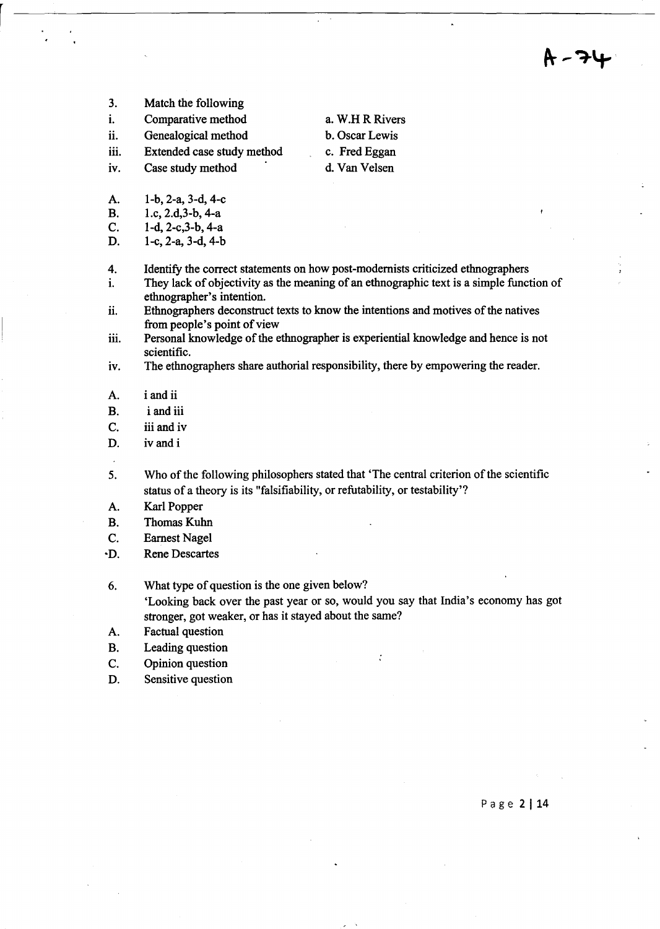- 3. Match the following
- i. Comparative method
- ii. Genealogical method
- iii. Extended case study method
- iv.

a. W.H R Rivers b. Oscar Lewis

- c. Fred Eggan
- Case study method
- A. I-b, 2-a, 3-d, 4-c
- B. I.c, 2.d,3-b, 4-a
- C. I-d, 2-c,3-b, 4-a
- D. I-c, 2-a, 3-d, 4-b
- 4. Identify the correct statements on how post-modernists criticized ethnographers
- i. They lack of objectivity as the meaning of an ethnographic text is a simple function of ethnographer's intention.
- ii. Ethnographers deconstruct texts to know the intentions and motives of the natives from people's point of view
- iii. Personal knowledge of the ethnographer is experiential knowledge and hence is not scientific.
- iv. The ethnographers share authorial responsibility, there by empowering the reader.
- A. i and ii
- B. i and iii
- C. iii and iv
- D. iv and i
- 5. Who of the following philosophers stated that 'The central criterion of the scientific status of a theory is its "falsifiability, or refutability, or testability'?
- A. Karl Popper
- B. Thomas Kuhn
- C. Eamest Nagel
- -D. Rene Descartes
- 6. What type of question is the one given below? 'Looking back over the past year or so, would you say that India's economy has got stronger, got weaker, or has it stayed about the same?
- A. Factual question
- B. Leading question
- C. Opinion question
- D. Sensitive question

Page 2 | 14

- 
- 
- 
- d. Van Velsen
-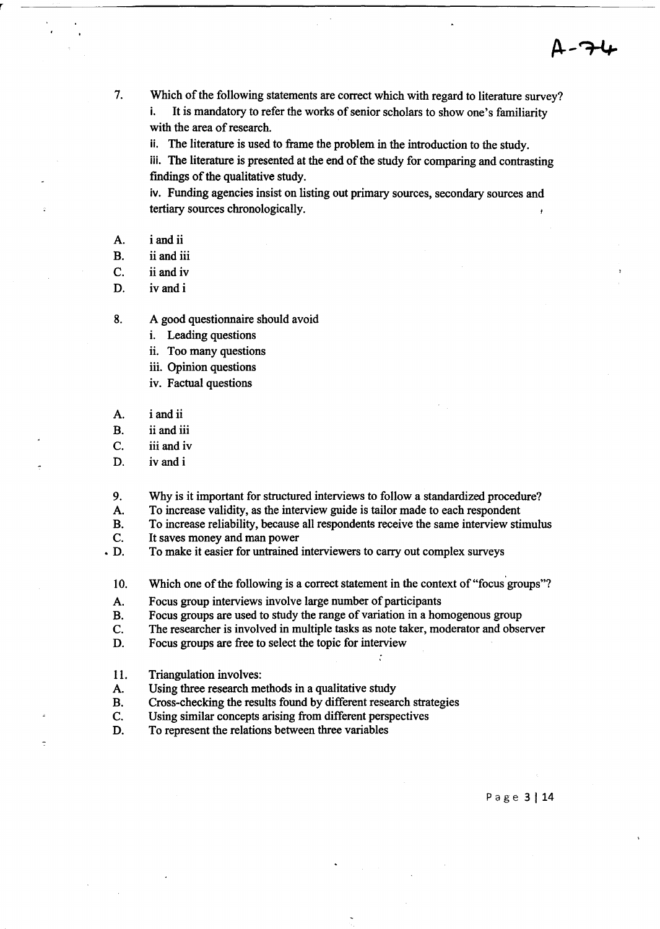7. Which of the following statements are correct which with regard to literature survey? i. It is mandatory to refer the works of senior scholars to show one's familiarity with the area of research.

ii. The literature is used to frame the problem in the introduction to the study.

iii. The literature is presented at the end of the study for comparing and contrasting findings of the qualitative study.

iv. Funding agencies insist on listing out primary sources, secondary sources and tertiary sources chronologically.

A. i and ii

B. ii and iii

C. ii and iv

D. iv and i

8. A good questionnaire should avoid

i. Leading questions

ii. Too many questions

- iii. Opinion questions
- iv. Factual questions
- A. i and ii

B. ii and iii

c. iii and iv

D. ivand i

9. Why is it important for structured interviews to follow a standardized procedure?

A. To increase validity, as the interview guide is tailor made to each respondent

- B. To increase reliability, because all respondents receive the same interview stimulus
- c. It saves money and man power
- D. To make it easier for untrained interviewers to carry out complex surveys

10. Which one of the following is a correct statement in the context of "focus groups"?

- A. Focus group interviews involve large number of participants
- B. Focus groups are used to study the range of variation in a homogenous group
- c. The researcher is involved in multiple tasks as note taker, moderator and observer
- D. Focus groups are free to select the topic for interview
- 11. Triangulation involves:

~

- A. Using three research methods in a qualitative study
- B. Cross-checking the results found by different research strategies
- c. Using similar concepts arising from different perspectives
- D. To represent the relations between three variables

P age 3 114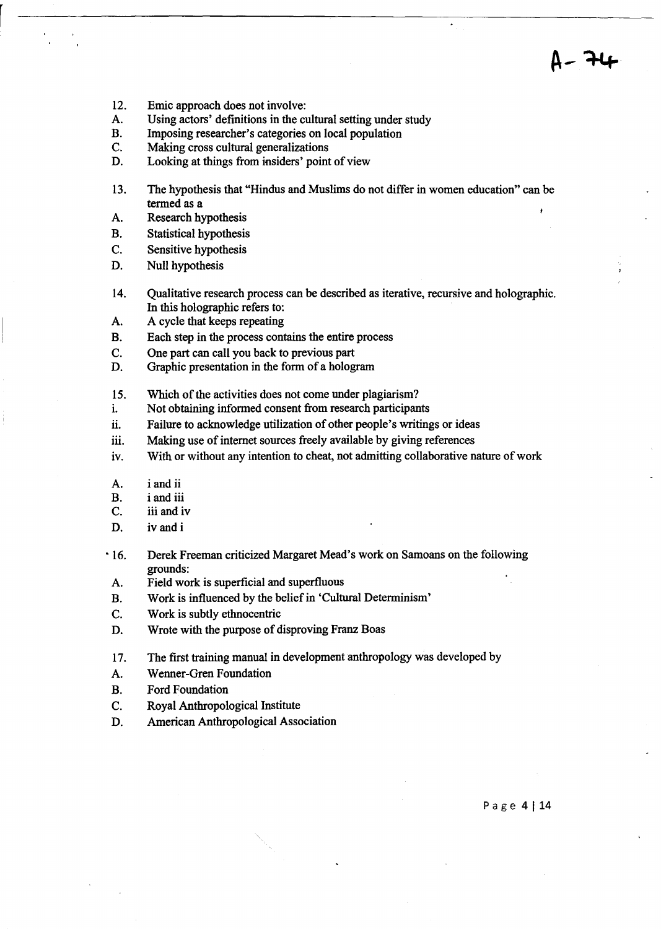- 12. Emic approach does not involve:
- A. Using actors' definitions in the cultural setting under study
- B. Imposing researcher's categories on local population
- C. Making cross cultural generalizations
- D. Looking at things from insiders' point of view
- 13. The hypothesis that "Hindus and Muslims do not differ in women education" can be termed as a
- A. Research hypothesis
- B. Statistical hypothesis
- C. Sensitive hypothesis
- D. Null hypothesis
- 14. Qualitative research process can be described as iterative, recursive and holographic. In this holographic refers to:
- A. A cycle that keeps repeating
- B. Each step in the process contains the entire process
- C. One part can call you back to previous part
- D. Graphic presentation in the form of a hologram
- 15. Which of the activities does not come under plagiarism?
- i. Not obtaining informed consent from research participants
- ii. Failure to acknowledge utilization of other people's writings or ideas
- iii. Making use of internet sources freely available by giving references
- iv. With or without any intention to cheat, not admitting collaborative nature of work
- A. i and ii
- B. i and iii
- C. iii and iv
- D. iv and i
- 16. Derek Freeman criticized Margaret Mead's work on Samoans on the following grounds:
- A. Field work is superficial and superfluous
- B. Work is influenced by the belief in 'Cultural Determinism'
- C. Work is subtly ethnocentric
- D. Wrote with the purpose of disproving Franz Boas
- 17. The first training manual in development anthropology was developed by
- A. Wenner-Gren Foundation
- B. Ford Foundation
- C. Royal Anthropological Institute
- D. American Anthropological Association

Page 4 | 14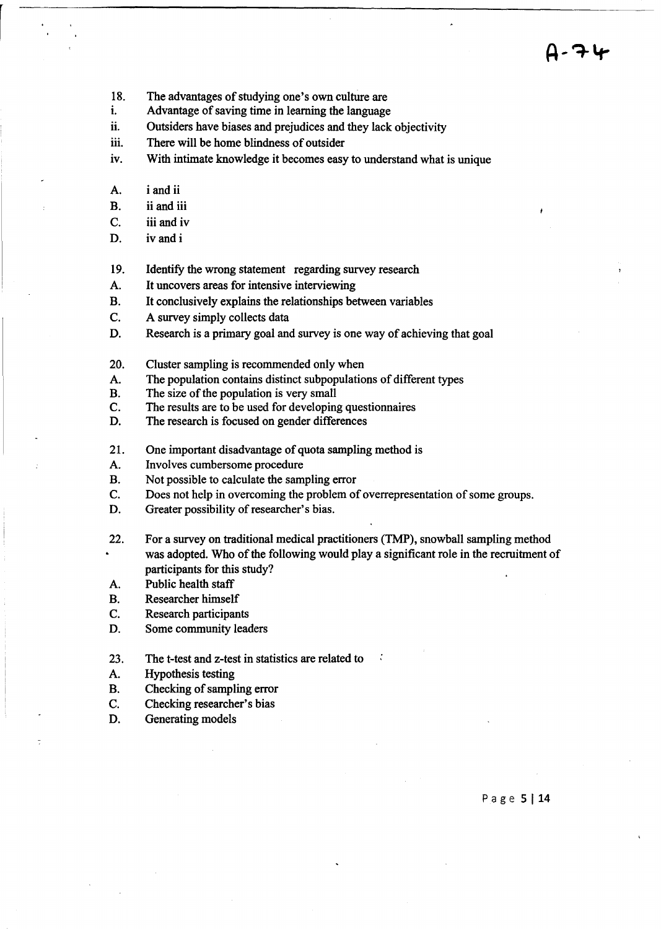- 18. The advantages of studying one's own culture are
- i. Advantage of saving time in learning the language
- ii. Outsiders have biases and prejudices and they lack objectivity
- iii. There will be home blindness of outsider
- iv. With intimate knowledge it becomes easy to understand what is unique
- A. i and ii
- B. ii and iii
- C. iii and iv
- D. iv and i
- 19. Identify the wrong statement regarding survey research
- A. It uncovers areas for intensive interviewing
- B. It conclusively explains the relationships between variables
- C. A survey simply collects data
- D. Research is a primary goal and survey is one way of achieving that goal
- 20. Cluster sampling is recommended only when
- A. The population contains distinct subpopulations of different types
- B. The size of the population is very small
- C. The results are to be used for developing questionnaires
- D. The research is focused on gender differences
- 21. One important disadvantage of quota sampling method is
- A. Involves cumbersome procedure
- B. Not possible to calculate the sampling error
- C. Does not help in overcoming the problem of overrepresentation of some groups.
- D. Greater possibility of researcher's bias.
- 22. For a survey on traditional medical practitioners (TMP), snowball sampling method was adopted. Who of the following would playa significant role in the recruitment of participants for this study?
- A. Public health staff
- B. Researcher himself
- C. Research participants
- D. Some community leaders
- 23. The t-test and z-test in statistics are related to
- A. Hypothesis testing
- B. Checking of sampling error
- C. Checking researcher's bias
- D. Generating models

Page 5 | 14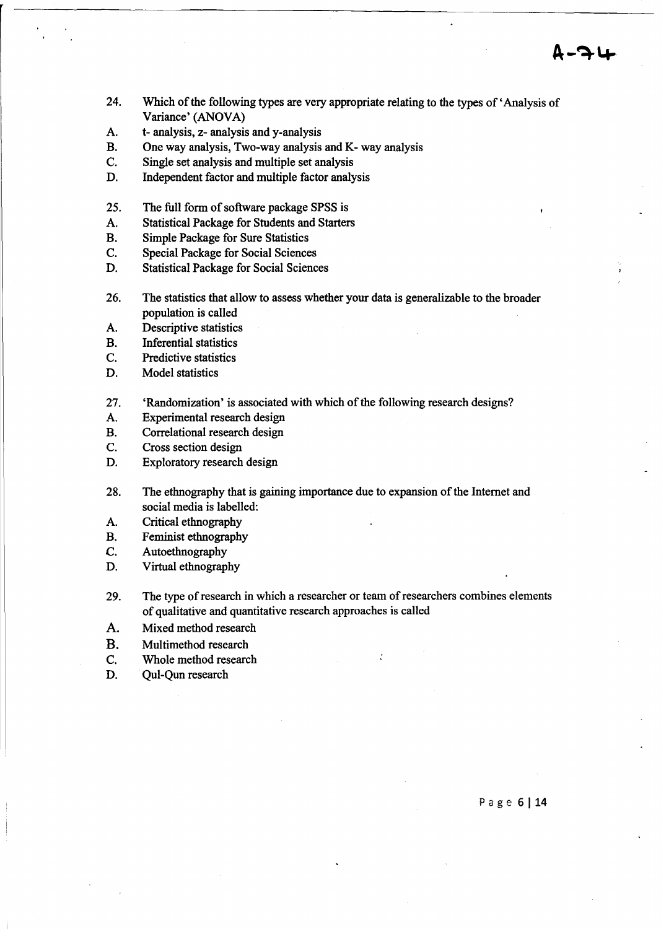- 24. Which of the following types are very appropriate relating to the types of' Analysis of Variance' (ANOVA)
- A. t- analysis, z- analysis and y-analysis
- B. One way analysis, Two-way analysis and K- way analysis
- C. Single set analysis and multiple set analysis
- D. Independent factor and multiple factor analysis
- 25. The full form of software package SPSS is
- A. Statistical Package for Students and Starters
- B. Simple Package for Sure Statistics
- C. Special Package for Social Sciences
- D. Statistical Package for Social Sciences
- 26. The statistics that allow to assess whether your data is generalizable to the broader population is called
- A. Descriptive statistics
- B. Inferential statistics
- C. Predictive statistics
- D. Model statistics
- 27. 'Randomization' is associated with which of the following research designs?
- A. Experimental research design
- B. Correlational research design
- C. Cross section design
- D. Exploratory research design
- 28. The ethnography that is gaining importance due to expansion of the Internet and social media is labelled:
- A. Critical ethnography
- B. Feminist ethnography
- C. Autoethnography
- D. Virtual ethnography
- 29. The type of research in which a researcher or team of researchers combines elements of qualitative and quantitative research approaches is called

 $\ddot{\cdot}$ 

- A. Mixed method research
- B. Multimethod research
- C. Whole method research
- D. Qul-Qun research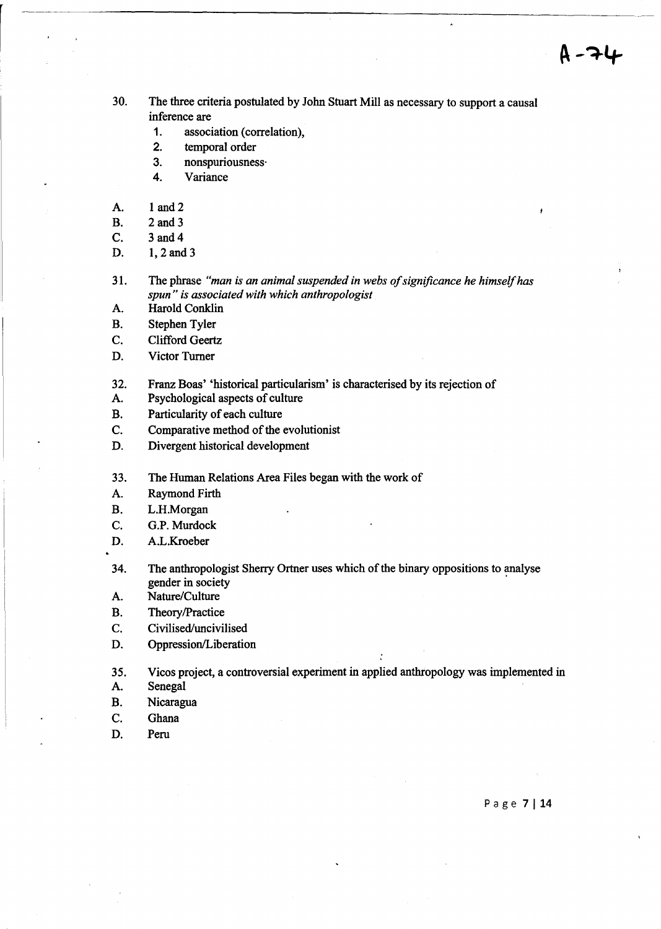- 30. The three criteria postulated by John stuart Mill as necessary to support a causal inference are
	- 1. association (correlation),
	- 2. temporal order
	- 3. nonspuriousness·
	- 4. Variance
- A. 1 and 2
- B. 2 and 3
- C. 3 and 4
- D. 1, 2 and 3
- 31. The phrase *"man is an animal suspended in webs of significance he himself has spun" is associated with which anthropologist*
- A. Harold Conklin
- B. Stephen Tyler
- C. Clifford Geertz
- D. Victor Turner
- 32. Franz Boas' 'historical particularism' is characterised by its rejection of
- A. Psychological aspects of culture
- B. Particularity of each culture
- C. Comparative method of the evolutionist
- D. Divergent historical development
- 33. The Human Relations Area Files began with the work of
- A. Raymond Firth
- B. L.H.Morgan
- C. G.P. Murdock
- D. A.L.Kroeber
- 34. The anthropologist Sherry Ortner uses which of the binary oppositions to analyse gender in society .
- A. Nature/Culture
- B. Theory/Practice
- C. Civilised/uncivilised
- D. Oppression/Liberation

35. Vicos project, a controversial experiment in applied anthropology was implemented in

- A. Senegal
- B. Nicaragua
- C. Ghana
- D. Peru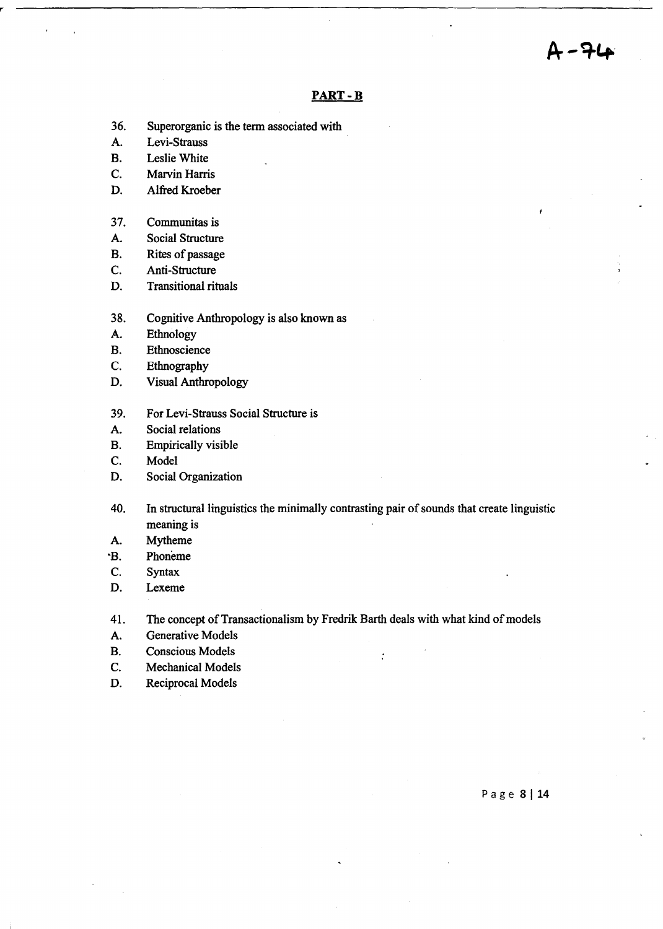-71

#### **PART-B**

- 36. Superorganic is the term associated with
- A. Levi-Strauss
- B. Leslie White
- C. Marvin Harris
- D. Alfred Kroeber
- 37. Communitas is
- A. Social Structure
- B. Rites of passage
- C. Anti-Structure
- D. Transitional rituals
- 38. Cognitive Anthropology is also known as
- A. Ethnology
- B. Ethnoscience
- C. Ethnography
- D. Visual Anthropology
- 39. For Levi-Strauss Social Structure is
- A. Social relations
- B. Empirically visible
- C. Model
- D. Social Organization
- 40. In structural linguistics the minimally contrasting pair of sounds that create linguistic meaning is
- A. Mytheme
- B. Phoneme
- C. Syntax
- D. Lexeme

41. The concept of Transactionalism by Fredrik Barth deals with what kind of models

 $\ddot{\cdot}$ 

- A. Generative Models
- B. Conscious Models
- C. Mechanical Models
- D. Reciprocal Models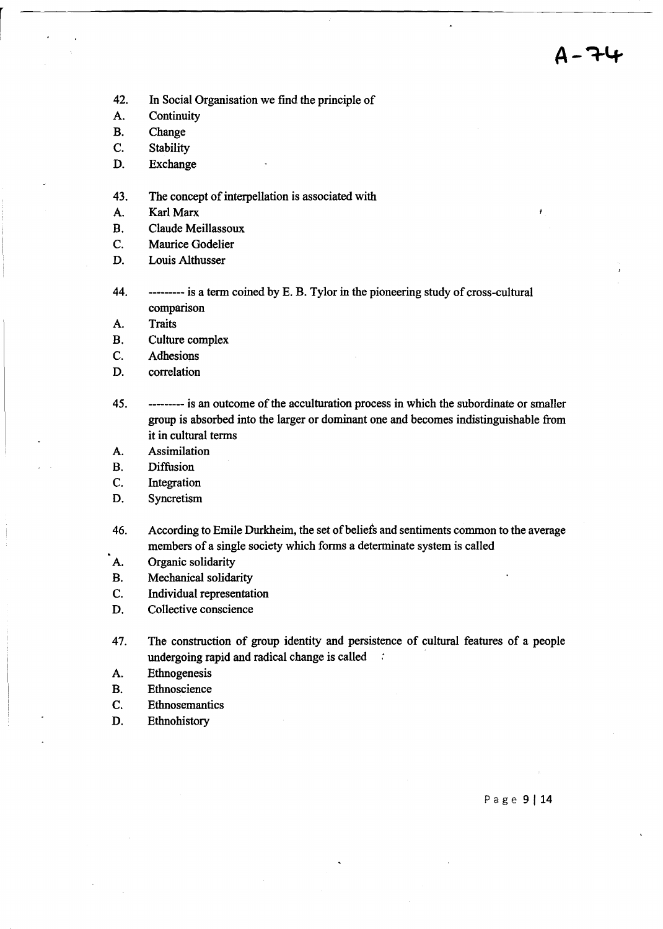- 42. In Social Organisation we find the principle of
- A. Continuity
- B. Change
- C. Stability
- D. Exchange
- 43. The concept of interpellation is associated with
- A. Karl Marx
- B. Claude Meillassoux
- C. Maurice Godelier
- D. Louis Althusser
- 44. --------- is a term coined by E. B. Tylor in the pioneering study of cross-cultural comparison
- A. Traits
- B. Culture complex
- C. Adhesions
- D. correlation
- 45. --------- is an outcome of the acculturation process in which the subordinate or smaller group is absorbed into the larger or dominant one and becomes indistinguishable from it in cultural terms
- A. Assimilation
- B. Diffusion
- C. Integration
- D. Syncretism
- 46. According to Emile Durkheim, the set of beliefs and sentiments common to the average members of a single society which forms a determinate system is called
- A. Organic solidarity
- B. Mechanical solidarity
- C. Individual representation
- D. Collective conscience
- 47. The construction of group identity and persistence of cultural features of a people undergoing rapid and radical change is called  $\therefore$
- A. Ethnogenesis
- B. Ethnoscience
- C. Ethnosemantics
- D. Ethnohistory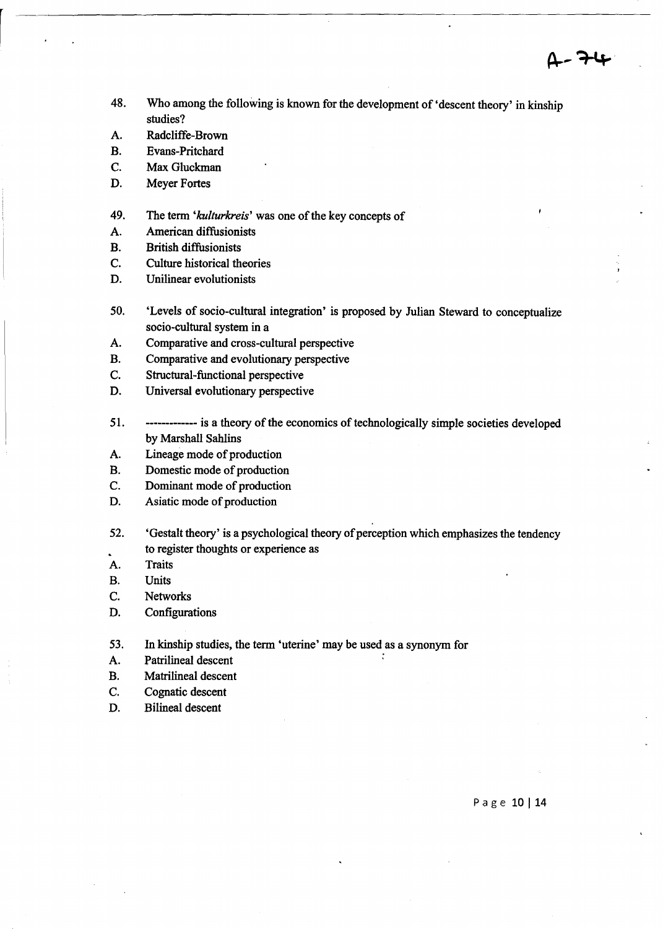- 48. Who among the following is known for the development of 'descent theory' in kinship studies?
- A. Radcliffe-Brown
- B. Evans-Pritchard
- C. Max Gluckman
- D. Meyer Fortes
- 49. The term *'ku/turkreis'* was one of the key concepts of
- A. American diffusionists
- B. British diffusionists
- C. Culture historical theories
- D. Unilinear evolutionists
- 50. 'Levels of socio-cultural integration' is proposed by Julian Steward to conceptualize socio-cultural system in a
- A. Comparative and cross-cultural perspective
- B. Comparative and evolutionary perspective
- C. Structural-functional perspective
- D. Universal evolutionary perspective
- 51. ------------- is a theory of the economics of technologically simple societies developed by Marshall Sahlins
- A. Lineage mode of production
- B. Domestic mode of production
- C. Dominant mode of production
- D. Asiatic mode of production
- 52. 'Gestalt theory' is a psychological theory of perception which emphasizes the tendency to register thoughts or experience as
- A. Traits
- B. Units
- C. Networks
- D. Configurations
- 53. In kinship studies, the term 'uterine' may be used as a synonym for
- A. Patrilineal descent
- B. Matrilineal descent
- C. Cognatic descent
- D. Bilineal descent

Page 10 | 14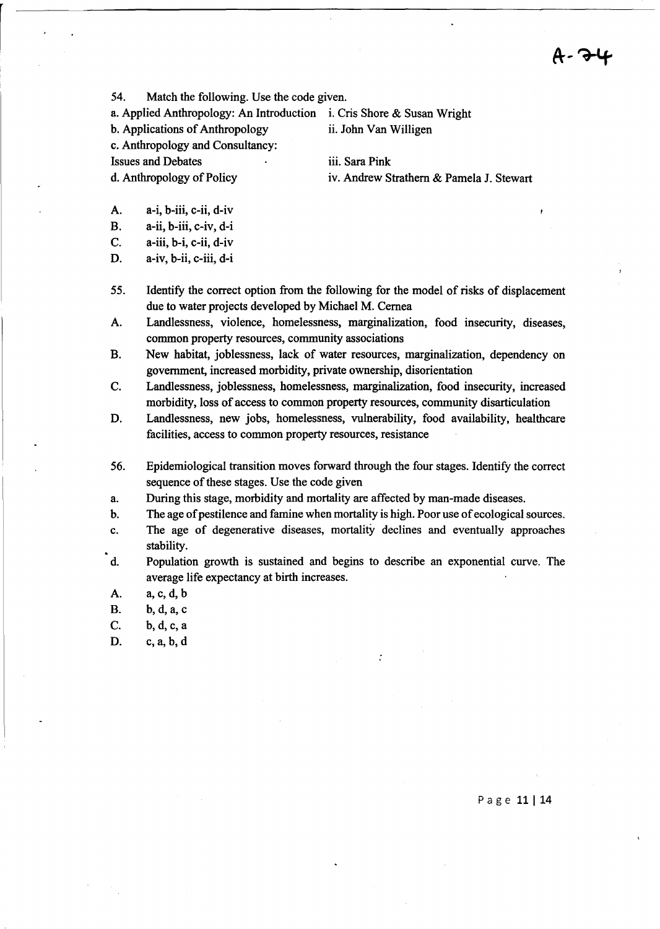A- 7-4

54. Match the following. Use the code given.

a. Applied Anthropology: An Introduction i. Cris Shore & Susan Wright

b. Applications of Anthropology ii. John Van Willigen

c. Anthropology and Consultancy:

Issues and Debates iii. Sara Pink

d. Anthropology of Policy iv. Andrew Strathem & Pamela J. Stewart

- A. a-i, b-iii, c-ii, d-iv
- B. a-ii, b-iii, c-iv, d-i
- C. a-iii, b-i, c-ii, d-iv
- D. a-iv, b-ii, c-iii, d-i
- 55. Identify the correct option from the following for the model of risks of displacement due to water projects developed by Michael M. Cemea
- A. Landlessness, violence, homelessness, marginalization, food insecurity, diseases, common property resources, community associations
- B. New habitat, joblessness, lack of water resources, marginalization, dependency on government, increased morbidity, private ownership, disorientation
- C. Landlessness, joblessness, homelessness, marginalization, food insecurity, increased morbidity, loss of access to common property resources, community disarticulation
- D. Landlessness, new jobs, homelessness, vulnerability, food availability, healthcare facilities, access to common property resources, resistance
- 56. Epidemiological transition moves forward through the four stages. Identify the correct sequence of these stages. Use the code given
- a. During this stage, morbidity and mortality are affected by man-made diseases.
- b. The age of pestilence and famine when mortality is high. Poor use of ecological sources.
- c. The age of degenerative diseases, mortality declines and eventually approaches stability.
- d. Population growth is sustained and begins to describe an exponential curve. The average life expectancy at birth increases.
- A. a,c,d, b
- B. b, d, a, c
- C. b, d, c, a
- D. c,a,b,d

Page 11 | 14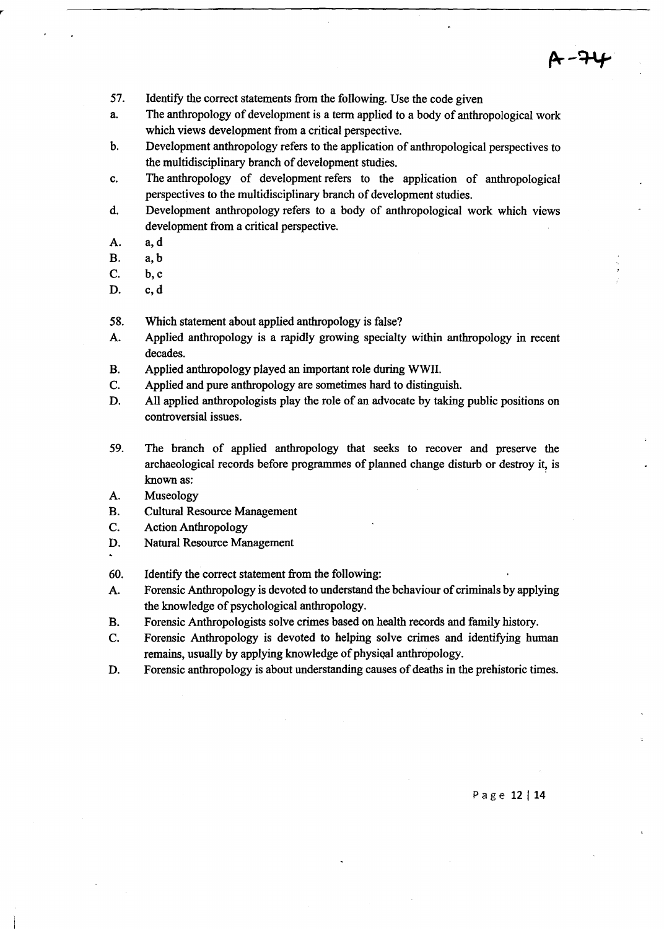- 57. Identify the correct statements from the following. Use the code given
- a. The anthropology of development is a term applied to a body of anthropological work which views development from a critical perspective.
- b. Development anthropology refers to the application of anthropological perspectives to the multidisciplinary branch of development studies.
- c. The anthropology of development refers to the application of anthropological perspectives to the multidisciplinary branch of development studies.
- d. Development anthropology refers to a body of anthropological work which views development from a critical perspective.
- A. a,d
- B. a, b
- C. b,c
- D. c,d
- 58. Which statement about applied anthropology is false?
- A. Applied anthropology is a rapidly growing specialty within anthropology in recent decades.
- B. Applied anthropology played an important role during WWIl.
- C. Applied and pure anthropology are sometimes hard to distinguish.
- D. All applied anthropologists play the role of an advocate by taking public positions on controversial issues.
- 59. The branch of applied anthropology that seeks to recover and preserve the archaeological records before programmes of planned change disturb or destroy it, is known as:
- A. Museology
- B. Cultural Resource Management
- C. Action Anthropology
- D. Natural Resource Management
- 60. Identify the correct statement from the following:
- A. Forensic Anthropology is devoted to understand the behaviour of criminals by applying the knowledge of psychological anthropology.
- B. Forensic Anthropologists solve crimes based on health records and family history.
- C. Forensic Anthropology is devoted to helping solve crimes and identifying human remains, usually by applying knowledge of physical anthropology.
- D. Forensic anthropology is about understanding causes of deaths in the prehistoric times.

Page 12 | 14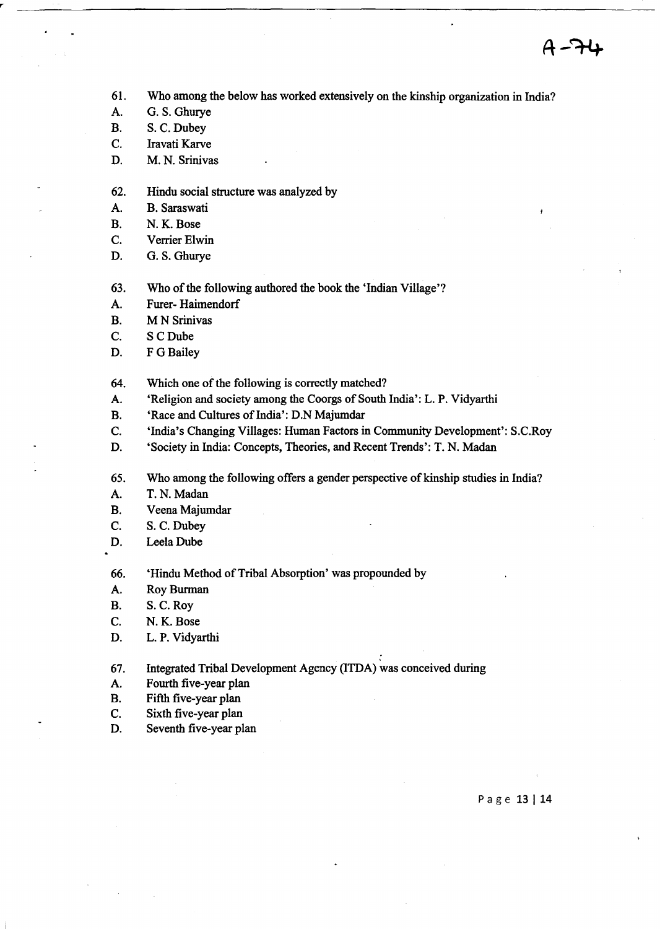- 61. Who among the below has worked extensively on the kinship organization in India?
- A. G. S. Ghurye
- B. S. C. Dubey
- C. Iravati Karve
- D. M. N. Srinivas
- 62. Hindu social structure was analyzed by
- A. B. Saraswati
- B. N. K. Bose
- C. Verrier Elwin
- D. G. S. Ghurye
- 63. Who of the following authored the book the 'Indian Village'?
- A. Furer- Haimendorf
- B. M N Srinivas
- C. SCDube
- D. F G Bailey

64. Which one of the following is correctly matched?

- A. 'Religion and society among the Coorgs of South India': L. P. Vidyarthi
- B. 'Race and Cultures of India': D.N Majumdar
- C. 'India's Changing Villages: Human Factors in Community Development': S.C.Roy
- D. 'Society in India: Concepts, Theories, and Recent Trends': T. N. Madan
- 65. Who among the following offers a gender perspective of kinship studies in India?
- A. T. N. Madan
- B. Veena Majumdar
- C. S. C. Dubey
- D. Leela Dube

66. 'Hindu Method of Tribal Absorption' was propounded by

- A. Roy Burman
- B. S. C. Roy
- C. N. K. Bose
- D. L. P. Vidyarthi

67. Integrated Tribal Development Agency (ITDA) was conceived during

- A. Fourth five-year plan
- B. Fifth five-year plan
- C. Sixth five-year plan
- D. Seventh five-year plan

Page 13 | 14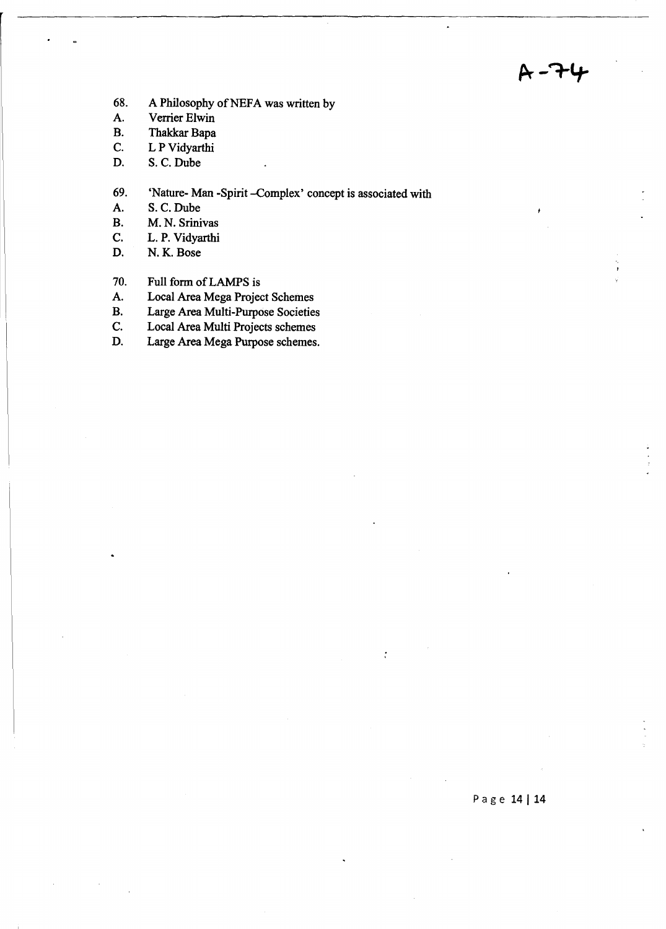- 68. A Philosophy of NEFA was written by
- A. Verrier Elwin<br>B. Thakkar Bapa
- Thakkar Bapa
- C. L P Vidyarthi
- D. S. C.Dube
- 69. 'Nature- Man -Spirit --Complex' concept is associated with A. S. C. Dube
- S. C. Dube
- B. M. N. Srinivas
- C. L. P. Vidyarthi
- D. N. K. Bose
- 70. Full form of LAMPS is
- A. Local Area Mega Project Schemes<br>B. Large Area Multi-Purpose Societie
- Large Area Multi-Purpose Societies
- C. Local Area Multi Projects schemes
- D. Large Area Mega Purpose schemes.

 $\ddot{\cdot}$